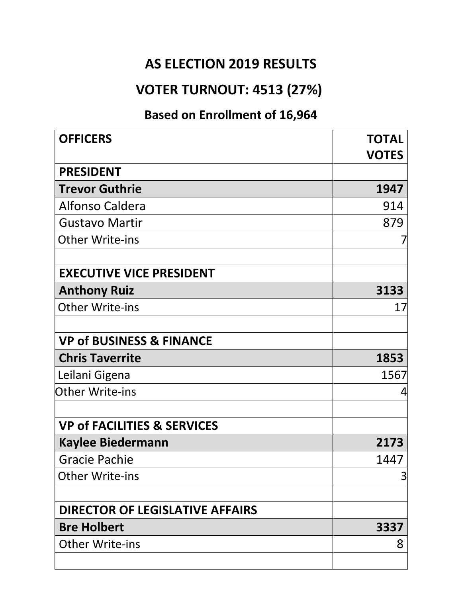#### **AS ELECTION 2019 RESULTS**

### **VOTER TURNOUT: 4513 (27%)**

### **Based on Enrollment of 16,964**

| <b>OFFICERS</b>                        | <b>TOTAL</b><br><b>VOTES</b> |
|----------------------------------------|------------------------------|
| <b>PRESIDENT</b>                       |                              |
| <b>Trevor Guthrie</b>                  | 1947                         |
| Alfonso Caldera                        | 914                          |
| <b>Gustavo Martir</b>                  | 879                          |
| <b>Other Write-ins</b>                 |                              |
| <b>EXECUTIVE VICE PRESIDENT</b>        |                              |
| <b>Anthony Ruiz</b>                    | 3133                         |
| <b>Other Write-ins</b>                 | 17                           |
| <b>VP of BUSINESS &amp; FINANCE</b>    |                              |
| <b>Chris Taverrite</b>                 | 1853                         |
| Leilani Gigena                         | 1567                         |
| <b>Other Write-ins</b>                 | 4                            |
| <b>VP of FACILITIES &amp; SERVICES</b> |                              |
| <b>Kaylee Biedermann</b>               | 2173                         |
| <b>Gracie Pachie</b>                   | 1447                         |
| <b>Other Write-ins</b>                 | 3                            |
| <b>DIRECTOR OF LEGISLATIVE AFFAIRS</b> |                              |
| <b>Bre Holbert</b>                     | 3337                         |
| <b>Other Write-ins</b>                 | 8                            |
|                                        |                              |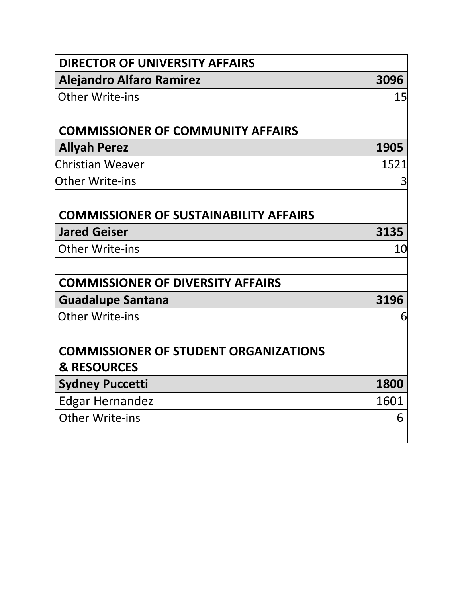| <b>DIRECTOR OF UNIVERSITY AFFAIRS</b>         |      |
|-----------------------------------------------|------|
| <b>Alejandro Alfaro Ramirez</b>               | 3096 |
| <b>Other Write-ins</b>                        | 15   |
|                                               |      |
| <b>COMMISSIONER OF COMMUNITY AFFAIRS</b>      |      |
| <b>Allyah Perez</b>                           | 1905 |
| Christian Weaver                              | 1521 |
| Other Write-ins                               | 3    |
|                                               |      |
| <b>COMMISSIONER OF SUSTAINABILITY AFFAIRS</b> |      |
| <b>Jared Geiser</b>                           | 3135 |
| <b>Other Write-ins</b>                        | 10   |
|                                               |      |
| <b>COMMISSIONER OF DIVERSITY AFFAIRS</b>      |      |
| <b>Guadalupe Santana</b>                      | 3196 |
| <b>Other Write-ins</b>                        | 6    |
|                                               |      |
| <b>COMMISSIONER OF STUDENT ORGANIZATIONS</b>  |      |
| <b>&amp; RESOURCES</b>                        |      |
| <b>Sydney Puccetti</b>                        | 1800 |
| <b>Edgar Hernandez</b>                        | 1601 |
| <b>Other Write-ins</b>                        | 6    |
|                                               |      |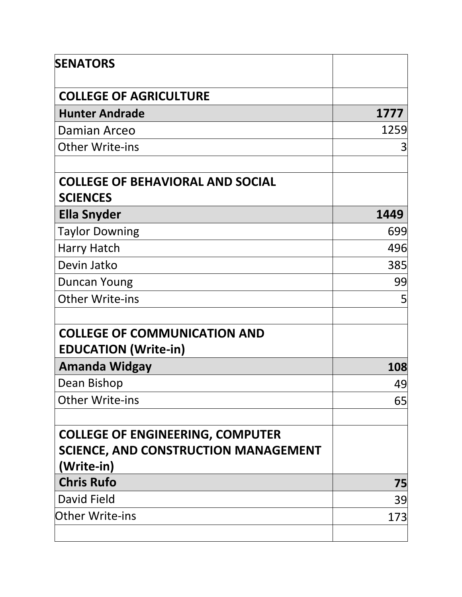| <b>SENATORS</b>                                                                                      |      |
|------------------------------------------------------------------------------------------------------|------|
| <b>COLLEGE OF AGRICULTURE</b>                                                                        |      |
| <b>Hunter Andrade</b>                                                                                | 1777 |
| Damian Arceo                                                                                         | 1259 |
| <b>Other Write-ins</b>                                                                               | 3    |
| <b>COLLEGE OF BEHAVIORAL AND SOCIAL</b><br><b>SCIENCES</b>                                           |      |
| Ella Snyder                                                                                          | 1449 |
| <b>Taylor Downing</b>                                                                                | 699  |
| Harry Hatch                                                                                          | 496  |
| Devin Jatko                                                                                          | 385  |
| Duncan Young                                                                                         | 99   |
| <b>Other Write-ins</b>                                                                               | 5    |
| <b>COLLEGE OF COMMUNICATION AND</b><br><b>EDUCATION (Write-in)</b>                                   |      |
| <b>Amanda Widgay</b>                                                                                 | 108  |
| Dean Bishop                                                                                          | 49   |
| <b>Other Write-ins</b>                                                                               | 65   |
| <b>COLLEGE OF ENGINEERING, COMPUTER</b><br><b>SCIENCE, AND CONSTRUCTION MANAGEMENT</b><br>(Write-in) |      |
| <b>Chris Rufo</b>                                                                                    | 75   |
| David Field                                                                                          | 39   |
| <b>Other Write-ins</b>                                                                               | 173  |
|                                                                                                      |      |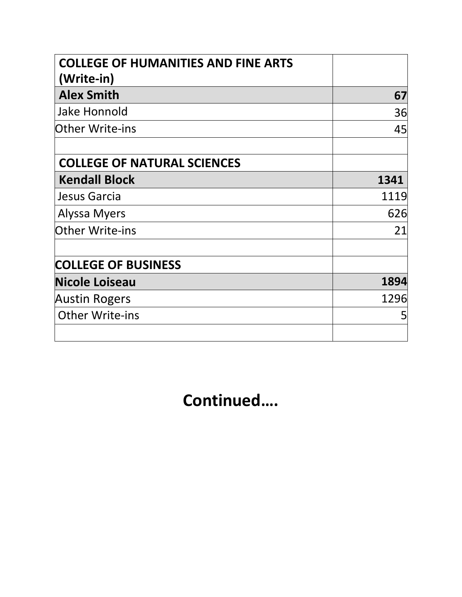| <b>COLLEGE OF HUMANITIES AND FINE ARTS</b> |      |
|--------------------------------------------|------|
| (Write-in)                                 |      |
| <b>Alex Smith</b>                          | 67   |
| <b>Jake Honnold</b>                        | 36   |
| <b>Other Write-ins</b>                     | 45   |
| <b>COLLEGE OF NATURAL SCIENCES</b>         |      |
| <b>Kendall Block</b>                       | 1341 |
| Jesus Garcia                               | 1119 |
| Alyssa Myers                               | 626  |
| <b>Other Write-ins</b>                     | 21   |
| <b>COLLEGE OF BUSINESS</b>                 |      |
| <b>Nicole Loiseau</b>                      | 1894 |
| <b>Austin Rogers</b>                       | 1296 |
| <b>Other Write-ins</b>                     | 5    |
|                                            |      |

**Continued….**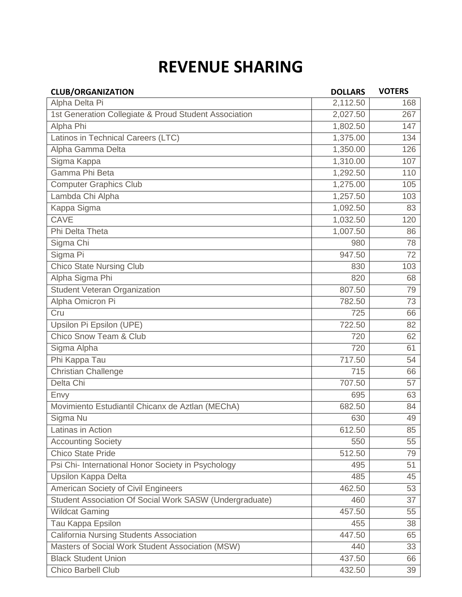## **REVENUE SHARING**

| <b>CLUB/ORGANIZATION</b>                                | <b>DOLLARS</b> | <b>VOTERS</b> |
|---------------------------------------------------------|----------------|---------------|
| Alpha Delta Pi                                          | 2,112.50       | 168           |
| 1st Generation Collegiate & Proud Student Association   | 2,027.50       | 267           |
| Alpha Phi                                               | 1,802.50       | 147           |
| Latinos in Technical Careers (LTC)                      | 1,375.00       | 134           |
| Alpha Gamma Delta                                       | 1,350.00       | 126           |
| Sigma Kappa                                             | 1,310.00       | 107           |
| Gamma Phi Beta                                          | 1,292.50       | 110           |
| <b>Computer Graphics Club</b>                           | 1,275.00       | 105           |
| Lambda Chi Alpha                                        | 1,257.50       | 103           |
| Kappa Sigma                                             | 1,092.50       | 83            |
| <b>CAVE</b>                                             | 1,032.50       | 120           |
| Phi Delta Theta                                         | 1,007.50       | 86            |
| Sigma Chi                                               | 980            | 78            |
| Sigma Pi                                                | 947.50         | 72            |
| <b>Chico State Nursing Club</b>                         | 830            | 103           |
| Alpha Sigma Phi                                         | 820            | 68            |
| <b>Student Veteran Organization</b>                     | 807.50         | 79            |
| Alpha Omicron Pi                                        | 782.50         | 73            |
| Cru                                                     | 725            | 66            |
| Upsilon Pi Epsilon (UPE)                                | 722.50         | 82            |
| Chico Snow Team & Club                                  | 720            | 62            |
| Sigma Alpha                                             | 720            | 61            |
| Phi Kappa Tau                                           | 717.50         | 54            |
| <b>Christian Challenge</b>                              | 715            | 66            |
| Delta Chi                                               | 707.50         | 57            |
| Envy                                                    | 695            | 63            |
| Movimiento Estudiantil Chicanx de Aztlan (MEChA)        | 682.50         | 84            |
| Sigma Nu                                                | 630            | 49            |
| Latinas in Action                                       | 612.50         | 85            |
| <b>Accounting Society</b>                               | 550            | 55            |
| <b>Chico State Pride</b>                                | 512.50         | 79            |
| Psi Chi- International Honor Society in Psychology      | 495            | 51            |
| <b>Upsilon Kappa Delta</b>                              | 485            | 45            |
| American Society of Civil Engineers                     | 462.50         | 53            |
| Student Association Of Social Work SASW (Undergraduate) | 460            | 37            |
| <b>Wildcat Gaming</b>                                   | 457.50         | 55            |
| Tau Kappa Epsilon                                       | 455            | 38            |
| <b>California Nursing Students Association</b>          | 447.50         | 65            |
| Masters of Social Work Student Association (MSW)        | 440            | 33            |
| <b>Black Student Union</b>                              | 437.50         | 66            |
| Chico Barbell Club                                      | 432.50         | 39            |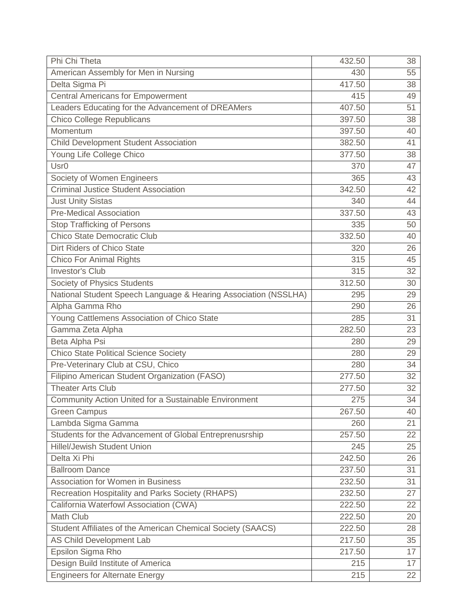| Phi Chi Theta                                                   | 432.50 | 38 |
|-----------------------------------------------------------------|--------|----|
| American Assembly for Men in Nursing                            | 430    | 55 |
| Delta Sigma Pi                                                  | 417.50 | 38 |
| <b>Central Americans for Empowerment</b>                        | 415    | 49 |
| Leaders Educating for the Advancement of DREAMers               | 407.50 | 51 |
| <b>Chico College Republicans</b>                                | 397.50 | 38 |
| Momentum                                                        | 397.50 | 40 |
| <b>Child Development Student Association</b>                    | 382.50 | 41 |
| Young Life College Chico                                        | 377.50 | 38 |
| Usr <sub>0</sub>                                                | 370    | 47 |
| Society of Women Engineers                                      | 365    | 43 |
| <b>Criminal Justice Student Association</b>                     | 342.50 | 42 |
| <b>Just Unity Sistas</b>                                        | 340    | 44 |
| <b>Pre-Medical Association</b>                                  | 337.50 | 43 |
| <b>Stop Trafficking of Persons</b>                              | 335    | 50 |
| <b>Chico State Democratic Club</b>                              | 332.50 | 40 |
| Dirt Riders of Chico State                                      | 320    | 26 |
| <b>Chico For Animal Rights</b>                                  | 315    | 45 |
| <b>Investor's Club</b>                                          | 315    | 32 |
| Society of Physics Students                                     | 312.50 | 30 |
| National Student Speech Language & Hearing Association (NSSLHA) | 295    | 29 |
| Alpha Gamma Rho                                                 | 290    | 26 |
| Young Cattlemens Association of Chico State                     | 285    | 31 |
| Gamma Zeta Alpha                                                | 282.50 | 23 |
| Beta Alpha Psi                                                  | 280    | 29 |
| <b>Chico State Political Science Society</b>                    | 280    | 29 |
| Pre-Veterinary Club at CSU, Chico                               | 280    | 34 |
| Filipino American Student Organization (FASO)                   | 277.50 | 32 |
| <b>Theater Arts Club</b>                                        | 277.50 | 32 |
| Community Action United for a Sustainable Environment           | 275    | 34 |
| <b>Green Campus</b>                                             | 267.50 | 40 |
| Lambda Sigma Gamma                                              | 260    | 21 |
| Students for the Advancement of Global Entreprenusrship         | 257.50 | 22 |
| <b>Hillel/Jewish Student Union</b>                              | 245    | 25 |
| Delta Xi Phi                                                    | 242.50 | 26 |
| <b>Ballroom Dance</b>                                           | 237.50 | 31 |
| <b>Association for Women in Business</b>                        | 232.50 | 31 |
| Recreation Hospitality and Parks Society (RHAPS)                | 232.50 | 27 |
| California Waterfowl Association (CWA)                          | 222.50 | 22 |
| <b>Math Club</b>                                                | 222.50 | 20 |
| Student Affiliates of the American Chemical Society (SAACS)     | 222.50 | 28 |
| AS Child Development Lab                                        | 217.50 | 35 |
| Epsilon Sigma Rho                                               | 217.50 | 17 |
| Design Build Institute of America                               | 215    | 17 |
| <b>Engineers for Alternate Energy</b>                           | 215    | 22 |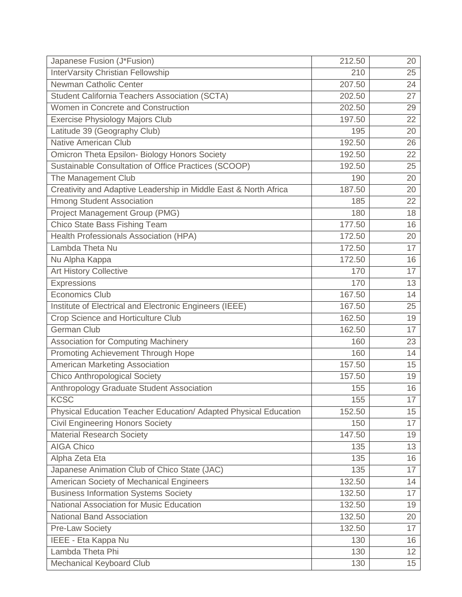| Japanese Fusion (J*Fusion)                                       | 212.50 | 20 |
|------------------------------------------------------------------|--------|----|
| InterVarsity Christian Fellowship                                | 210    | 25 |
| Newman Catholic Center                                           | 207.50 | 24 |
| Student California Teachers Association (SCTA)                   | 202.50 | 27 |
| Women in Concrete and Construction                               | 202.50 | 29 |
| Exercise Physiology Majors Club                                  | 197.50 | 22 |
| Latitude 39 (Geography Club)                                     | 195    | 20 |
| <b>Native American Club</b>                                      | 192.50 | 26 |
| Omicron Theta Epsilon- Biology Honors Society                    | 192.50 | 22 |
| Sustainable Consultation of Office Practices (SCOOP)             | 192.50 | 25 |
| The Management Club                                              | 190    | 20 |
| Creativity and Adaptive Leadership in Middle East & North Africa | 187.50 | 20 |
| <b>Hmong Student Association</b>                                 | 185    | 22 |
| Project Management Group (PMG)                                   | 180    | 18 |
| Chico State Bass Fishing Team                                    | 177.50 | 16 |
| Health Professionals Association (HPA)                           | 172.50 | 20 |
| Lambda Theta Nu                                                  | 172.50 | 17 |
| Nu Alpha Kappa                                                   | 172.50 | 16 |
| <b>Art History Collective</b>                                    | 170    | 17 |
| Expressions                                                      | 170    | 13 |
| <b>Economics Club</b>                                            | 167.50 | 14 |
| Institute of Electrical and Electronic Engineers (IEEE)          | 167.50 | 25 |
| Crop Science and Horticulture Club                               | 162.50 | 19 |
| <b>German Club</b>                                               | 162.50 | 17 |
| <b>Association for Computing Machinery</b>                       | 160    | 23 |
| Promoting Achievement Through Hope                               | 160    | 14 |
| American Marketing Association                                   | 157.50 | 15 |
| <b>Chico Anthropological Society</b>                             | 157.50 | 19 |
| Anthropology Graduate Student Association                        | 155    | 16 |
| <b>KCSC</b>                                                      | 155    | 17 |
| Physical Education Teacher Education/ Adapted Physical Education | 152.50 | 15 |
| <b>Civil Engineering Honors Society</b>                          | 150    | 17 |
| <b>Material Research Society</b>                                 | 147.50 | 19 |
| <b>AIGA Chico</b>                                                | 135    | 13 |
| Alpha Zeta Eta                                                   | 135    | 16 |
| Japanese Animation Club of Chico State (JAC)                     | 135    | 17 |
| American Society of Mechanical Engineers                         | 132.50 | 14 |
| <b>Business Information Systems Society</b>                      | 132.50 | 17 |
| National Association for Music Education                         | 132.50 | 19 |
| <b>National Band Association</b>                                 | 132.50 | 20 |
| <b>Pre-Law Society</b>                                           | 132.50 | 17 |
| IEEE - Eta Kappa Nu                                              | 130    | 16 |
| Lambda Theta Phi                                                 | 130    | 12 |
| Mechanical Keyboard Club                                         | 130    | 15 |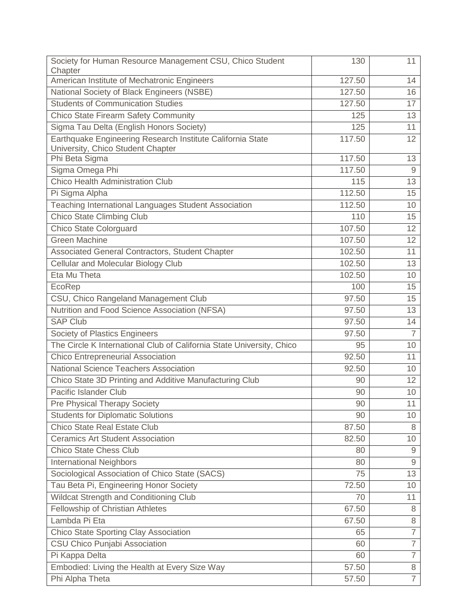| Society for Human Resource Management CSU, Chico Student                                        | 130    | 11              |
|-------------------------------------------------------------------------------------------------|--------|-----------------|
| Chapter                                                                                         |        |                 |
| American Institute of Mechatronic Engineers                                                     | 127.50 | 14              |
| National Society of Black Engineers (NSBE)                                                      | 127.50 | 16              |
| <b>Students of Communication Studies</b>                                                        | 127.50 | 17              |
| <b>Chico State Firearm Safety Community</b>                                                     | 125    | 13              |
| Sigma Tau Delta (English Honors Society)                                                        | 125    | 11              |
| Earthquake Engineering Research Institute California State<br>University, Chico Student Chapter | 117.50 | 12              |
| Phi Beta Sigma                                                                                  | 117.50 | 13              |
| Sigma Omega Phi                                                                                 | 117.50 | 9               |
| <b>Chico Health Administration Club</b>                                                         | 115    | 13              |
| Pi Sigma Alpha                                                                                  | 112.50 | 15              |
| Teaching International Languages Student Association                                            | 112.50 | 10              |
| <b>Chico State Climbing Club</b>                                                                | 110    | 15              |
| <b>Chico State Colorguard</b>                                                                   | 107.50 | 12              |
| <b>Green Machine</b>                                                                            | 107.50 | 12              |
| Associated General Contractors, Student Chapter                                                 | 102.50 | 11              |
| Cellular and Molecular Biology Club                                                             | 102.50 | 13              |
| Eta Mu Theta                                                                                    | 102.50 | 10              |
| EcoRep                                                                                          | 100    | 15              |
| CSU, Chico Rangeland Management Club                                                            | 97.50  | 15              |
| Nutrition and Food Science Association (NFSA)                                                   | 97.50  | 13              |
| <b>SAP Club</b>                                                                                 | 97.50  | 14              |
| Society of Plastics Engineers                                                                   | 97.50  | $\overline{7}$  |
| The Circle K International Club of California State University, Chico                           | 95     | 10              |
| Chico Entrepreneurial Association                                                               | 92.50  | 11              |
| <b>National Science Teachers Association</b>                                                    | 92.50  | 10              |
| Chico State 3D Printing and Additive Manufacturing Club                                         | 90     | 12              |
| Pacific Islander Club                                                                           | 90     | 10 <sup>°</sup> |
| Pre Physical Therapy Society                                                                    | 90     | 11              |
| <b>Students for Diplomatic Solutions</b>                                                        | 90     | 10              |
| <b>Chico State Real Estate Club</b>                                                             | 87.50  | 8               |
| <b>Ceramics Art Student Association</b>                                                         | 82.50  | 10              |
| <b>Chico State Chess Club</b>                                                                   | 80     | 9               |
| <b>International Neighbors</b>                                                                  | 80     | $\overline{9}$  |
| Sociological Association of Chico State (SACS)                                                  | 75     | 13              |
| Tau Beta Pi, Engineering Honor Society                                                          | 72.50  | 10              |
| Wildcat Strength and Conditioning Club                                                          | 70     | 11              |
| Fellowship of Christian Athletes                                                                | 67.50  | 8               |
| Lambda Pi Eta                                                                                   | 67.50  | 8               |
| <b>Chico State Sporting Clay Association</b>                                                    | 65     | $\overline{7}$  |
| CSU Chico Punjabi Association                                                                   | 60     | $\overline{7}$  |
| Pi Kappa Delta                                                                                  | 60     | $\overline{7}$  |
| Embodied: Living the Health at Every Size Way                                                   | 57.50  | 8               |
| Phi Alpha Theta                                                                                 | 57.50  | $\overline{7}$  |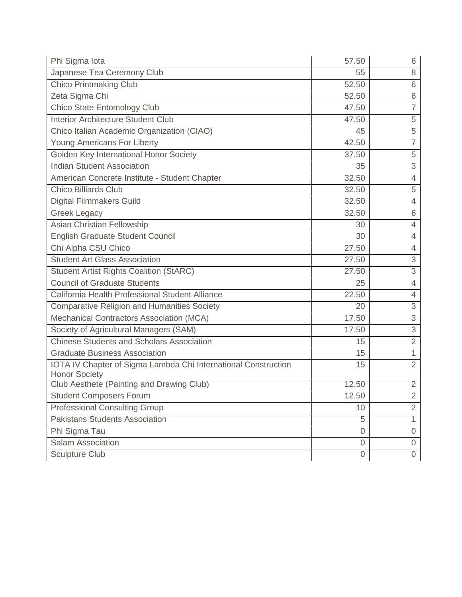| Phi Sigma lota                                                                         | 57.50          | 6              |
|----------------------------------------------------------------------------------------|----------------|----------------|
| Japanese Tea Ceremony Club                                                             | 55             | 8              |
| <b>Chico Printmaking Club</b>                                                          | 52.50          | 6              |
| Zeta Sigma Chi                                                                         | 52.50          | 6              |
| Chico State Entomology Club                                                            | 47.50          | $\overline{7}$ |
| Interior Architecture Student Club                                                     | 47.50          | 5              |
| Chico Italian Academic Organization (CIAO)                                             | 45             | 5              |
| <b>Young Americans For Liberty</b>                                                     | 42.50          | $\overline{7}$ |
| Golden Key International Honor Society                                                 | 37.50          | 5              |
| <b>Indian Student Association</b>                                                      | 35             | 3              |
| American Concrete Institute - Student Chapter                                          | 32.50          | $\overline{4}$ |
| <b>Chico Billiards Club</b>                                                            | 32.50          | 5              |
| <b>Digital Filmmakers Guild</b>                                                        | 32.50          | 4              |
| Greek Legacy                                                                           | 32.50          | 6              |
| Asian Christian Fellowship                                                             | 30             | $\overline{4}$ |
| <b>English Graduate Student Council</b>                                                | 30             | 4              |
| Chi Alpha CSU Chico                                                                    | 27.50          | $\overline{4}$ |
| <b>Student Art Glass Association</b>                                                   | 27.50          | 3              |
| <b>Student Artist Rights Coalition (StARC)</b>                                         | 27.50          | $\overline{3}$ |
| <b>Council of Graduate Students</b>                                                    | 25             | 4              |
| California Health Professional Student Alliance                                        | 22.50          | $\overline{4}$ |
| <b>Comparative Religion and Humanities Society</b>                                     | 20             | 3              |
| Mechanical Contractors Association (MCA)                                               | 17.50          | 3              |
| Society of Agricultural Managers (SAM)                                                 | 17.50          | 3              |
| <b>Chinese Students and Scholars Association</b>                                       | 15             | $\overline{2}$ |
| <b>Graduate Business Association</b>                                                   | 15             | $\mathbf{1}$   |
| IOTA IV Chapter of Sigma Lambda Chi International Construction<br><b>Honor Society</b> | 15             | $\overline{2}$ |
| Club Aesthete (Painting and Drawing Club)                                              | 12.50          | $\overline{2}$ |
| <b>Student Composers Forum</b>                                                         | 12.50          | 2              |
| <b>Professional Consulting Group</b>                                                   | 10             | $\overline{2}$ |
| <b>Pakistans Students Association</b>                                                  | 5              | $\mathbf{1}$   |
| Phi Sigma Tau                                                                          | $\mathbf 0$    | 0              |
| Salam Association                                                                      | $\overline{0}$ | 0              |
| <b>Sculpture Club</b>                                                                  | $\mathbf 0$    | $\overline{0}$ |